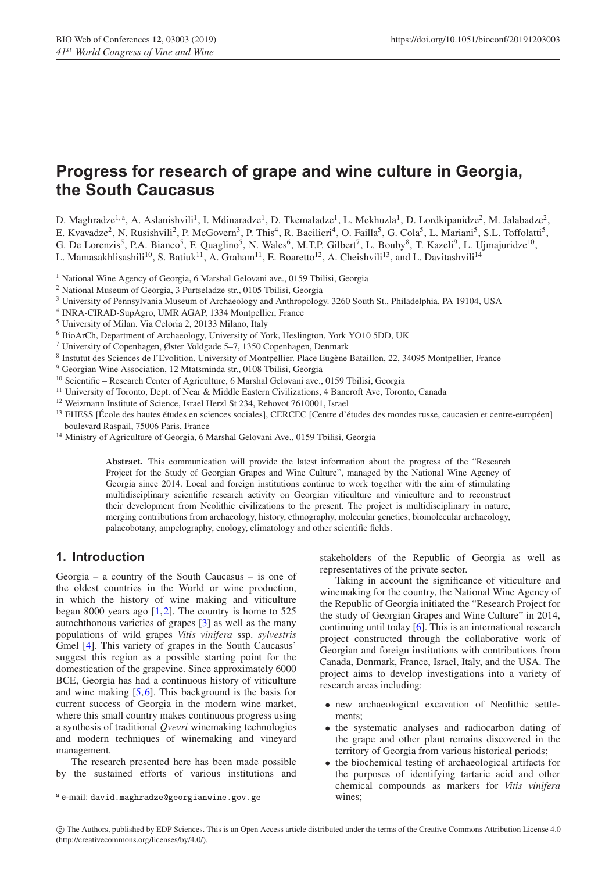# **Progress for research of grape and wine culture in Georgia, the South Caucasus**

D. Maghradze<sup>1,a</sup>, A. Aslanishvili<sup>1</sup>, I. Mdinaradze<sup>1</sup>, D. Tkemaladze<sup>1</sup>, L. Mekhuzla<sup>1</sup>, D. Lordkipanidze<sup>2</sup>, M. Jalabadze<sup>2</sup>, E. Kvavadze<sup>2</sup>, N. Rusishvili<sup>2</sup>, P. McGovern<sup>3</sup>, P. This<sup>4</sup>, R. Bacilieri<sup>4</sup>, O. Failla<sup>5</sup>, G. Cola<sup>5</sup>, L. Mariani<sup>5</sup>, S.L. Toffolatti<sup>5</sup>, G. De Lorenzis<sup>5</sup>, P.A. Bianco<sup>5</sup>, F. Quaglino<sup>5</sup>, N. Wales<sup>6</sup>, M.T.P. Gilbert<sup>7</sup>, L. Bouby<sup>8</sup>, T. Kazeli<sup>9</sup>, L. Ujmajuridze<sup>10</sup>,

L. Mamasakhlisashili<sup>10</sup>, S. Batiuk<sup>11</sup>, A. Graham<sup>11</sup>, E. Boaretto<sup>12</sup>, A. Cheishvili<sup>13</sup>, and L. Davitashvili<sup>14</sup>

<sup>1</sup> National Wine Agency of Georgia, 6 Marshal Gelovani ave., 0159 Tbilisi, Georgia

- <sup>2</sup> National Museum of Georgia, 3 Purtseladze str., 0105 Tbilisi, Georgia
- <sup>3</sup> University of Pennsylvania Museum of Archaeology and Anthropology. 3260 South St., Philadelphia, PA 19104, USA
- <sup>4</sup> INRA-CIRAD-SupAgro, UMR AGAP, 1334 Montpellier, France
- <sup>5</sup> University of Milan. Via Celoria 2, 20133 Milano, Italy
- <sup>6</sup> BioArCh, Department of Archaeology, University of York, Heslington, York YO10 5DD, UK
- <sup>7</sup> University of Copenhagen, Øster Voldgade 5–7, 1350 Copenhagen, Denmark
- <sup>8</sup> Instutut des Sciences de l'Evolition. University of Montpellier. Place Eugene Bataillon, 22, 34095 Montpellier, France `
- <sup>9</sup> Georgian Wine Association, 12 Mtatsminda str., 0108 Tbilisi, Georgia
- <sup>10</sup> Scientific Research Center of Agriculture, 6 Marshal Gelovani ave., 0159 Tbilisi, Georgia
- <sup>11</sup> University of Toronto, Dept. of Near & Middle Eastern Civilizations, 4 Bancroft Ave, Toronto, Canada
- <sup>12</sup> Weizmann Institute of Science, Israel Herzl St 234, Rehovot 7610001, Israel
- <sup>13</sup> EHESS [École des hautes études en sciences sociales], CERCEC [Centre d'études des mondes russe, caucasien et centre-européen] boulevard Raspail, 75006 Paris, France
- <sup>14</sup> Ministry of Agriculture of Georgia, 6 Marshal Gelovani Ave., 0159 Tbilisi, Georgia

**Abstract.** This communication will provide the latest information about the progress of the "Research Project for the Study of Georgian Grapes and Wine Culture", managed by the National Wine Agency of Georgia since 2014. Local and foreign institutions continue to work together with the aim of stimulating multidisciplinary scientific research activity on Georgian viticulture and viniculture and to reconstruct their development from Neolithic civilizations to the present. The project is multidisciplinary in nature, merging contributions from archaeology, history, ethnography, molecular genetics, biomolecular archaeology, palaeobotany, ampelography, enology, climatology and other scientific fields.

# **1. Introduction**

Georgia – a country of the South Caucasus – is one of the oldest countries in the World or wine production, in which the history of wine making and viticulture began 8000 years ago  $[1,2]$  $[1,2]$  $[1,2]$ . The country is home to 525 autochthonous varieties of grapes [\[3](#page-8-2)] as well as the many populations of wild grapes *Vitis vinifera* ssp. *sylvestris* Gmel [\[4](#page-8-3)]. This variety of grapes in the South Caucasus' suggest this region as a possible starting point for the domestication of the grapevine. Since approximately 6000 BCE, Georgia has had a continuous history of viticulture and wine making [\[5](#page-8-4),[6\]](#page-8-5). This background is the basis for current success of Georgia in the modern wine market, where this small country makes continuous progress using a synthesis of traditional *Qvevri* winemaking technologies and modern techniques of winemaking and vineyard management.

The research presented here has been made possible by the sustained efforts of various institutions and stakeholders of the Republic of Georgia as well as representatives of the private sector.

Taking in account the significance of viticulture and winemaking for the country, the National Wine Agency of the Republic of Georgia initiated the "Research Project for the study of Georgian Grapes and Wine Culture" in 2014, continuing until today [\[6\]](#page-8-5). This is an international research project constructed through the collaborative work of Georgian and foreign institutions with contributions from Canada, Denmark, France, Israel, Italy, and the USA. The project aims to develop investigations into a variety of research areas including:

- new archaeological excavation of Neolithic settlements<sup>\*</sup>
- the systematic analyses and radiocarbon dating of the grape and other plant remains discovered in the territory of Georgia from various historical periods;
- the biochemical testing of archaeological artifacts for the purposes of identifying tartaric acid and other chemical compounds as markers for *Vitis vinifera* wines;

 $^{\rm a}$ e-mail: david.maghradze@georgianwine.gov.ge

c The Authors, published by EDP Sciences. This is an Open Access article distributed under the terms of the Creative Commons Attribution License 4.0 (http://creativecommons.org/licenses/by/4.0/).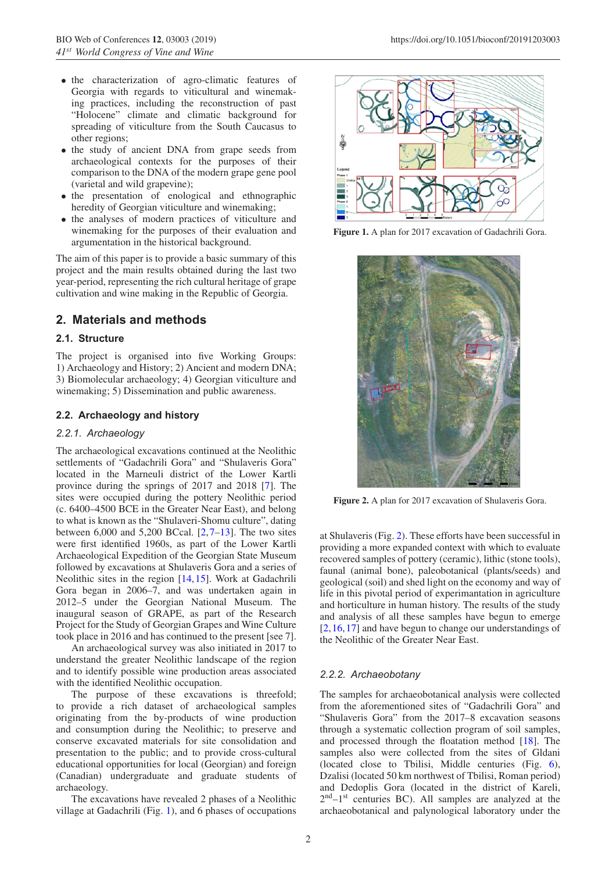- the characterization of agro-climatic features of Georgia with regards to viticultural and winemaking practices, including the reconstruction of past "Holocene" climate and climatic background for spreading of viticulture from the South Caucasus to other regions;
- the study of ancient DNA from grape seeds from archaeological contexts for the purposes of their comparison to the DNA of the modern grape gene pool (varietal and wild grapevine);
- the presentation of enological and ethnographic heredity of Georgian viticulture and winemaking;
- the analyses of modern practices of viticulture and winemaking for the purposes of their evaluation and argumentation in the historical background.

The aim of this paper is to provide a basic summary of this project and the main results obtained during the last two year-period, representing the rich cultural heritage of grape cultivation and wine making in the Republic of Georgia.

# **2. Materials and methods**

## **2.1. Structure**

The project is organised into five Working Groups: 1) Archaeology and History; 2) Ancient and modern DNA; 3) Biomolecular archaeology; 4) Georgian viticulture and winemaking; 5) Dissemination and public awareness.

## **2.2. Archaeology and history**

## *2.2.1. Archaeology*

The archaeological excavations continued at the Neolithic settlements of "Gadachrili Gora" and "Shulaveris Gora" located in the Marneuli district of the Lower Kartli province during the springs of 2017 and 2018 [\[7\]](#page-8-6). The sites were occupied during the pottery Neolithic period (c. 6400–4500 BCE in the Greater Near East), and belong to what is known as the "Shulaveri-Shomu culture", dating between  $6,000$  and  $5,200$  BCcal.  $[2,7-13]$  $[2,7-13]$  $[2,7-13]$ . The two sites were first identified 1960s, as part of the Lower Kartli Archaeological Expedition of the Georgian State Museum followed by excavations at Shulaveris Gora and a series of Neolithic sites in the region [\[14](#page-8-8),[15\]](#page-8-9). Work at Gadachrili Gora began in 2006–7, and was undertaken again in 2012–5 under the Georgian National Museum. The inaugural season of GRAPE, as part of the Research Project for the Study of Georgian Grapes and Wine Culture took place in 2016 and has continued to the present [see 7].

An archaeological survey was also initiated in 2017 to understand the greater Neolithic landscape of the region and to identify possible wine production areas associated with the identified Neolithic occupation.

The purpose of these excavations is threefold; to provide a rich dataset of archaeological samples originating from the by-products of wine production and consumption during the Neolithic; to preserve and conserve excavated materials for site consolidation and presentation to the public; and to provide cross-cultural educational opportunities for local (Georgian) and foreign (Canadian) undergraduate and graduate students of archaeology.

The excavations have revealed 2 phases of a Neolithic village at Gadachrili (Fig. [1\)](#page-1-0), and 6 phases of occupations

<span id="page-1-0"></span>

**Figure 1.** A plan for 2017 excavation of Gadachrili Gora.

<span id="page-1-1"></span>

**Figure 2.** A plan for 2017 excavation of Shulaveris Gora.

at Shulaveris (Fig. [2\)](#page-1-1). These efforts have been successful in providing a more expanded context with which to evaluate recovered samples of pottery (ceramic), lithic (stone tools), faunal (animal bone), paleobotanical (plants/seeds) and geological (soil) and shed light on the economy and way of life in this pivotal period of experimantation in agriculture and horticulture in human history. The results of the study and analysis of all these samples have begun to emerge [\[2](#page-8-1),[16,](#page-8-10)[17](#page-8-11)] and have begun to change our understandings of the Neolithic of the Greater Near East.

# *2.2.2. Archaeobotany*

The samples for archaeobotanical analysis were collected from the aforementioned sites of "Gadachrili Gora" and "Shulaveris Gora" from the 2017–8 excavation seasons through a systematic collection program of soil samples, and processed through the floatation method [\[18](#page-8-12)]. The samples also were collected from the sites of Gldani (located close to Tbilisi, Middle centuries (Fig. [6\)](#page-5-0), Dzalisi (located 50 km northwest of Tbilisi, Roman period) and Dedoplis Gora (located in the district of Kareli, 2nd–1st centuries BC). All samples are analyzed at the archaeobotanical and palynological laboratory under the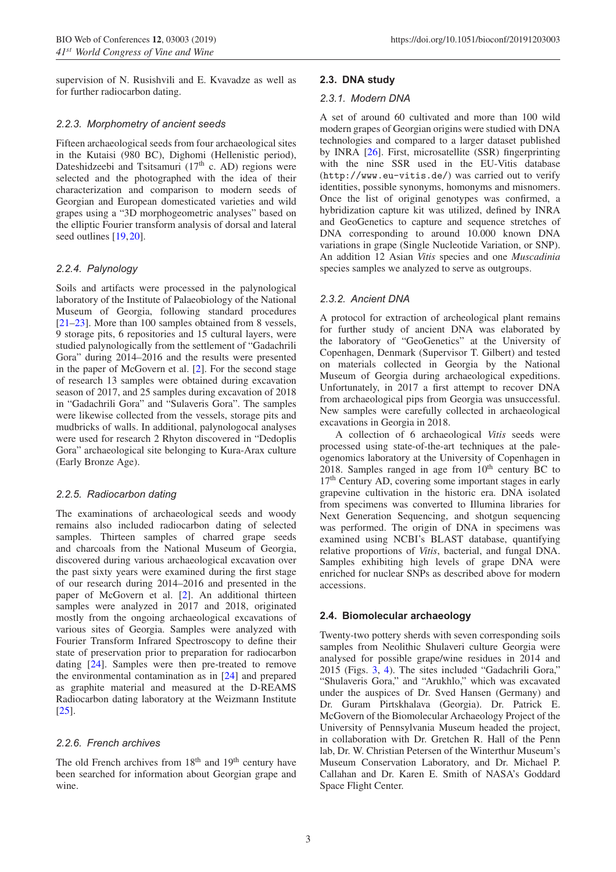supervision of N. Rusishvili and E. Kvavadze as well as for further radiocarbon dating.

## *2.2.3. Morphometry of ancient seeds*

Fifteen archaeological seeds from four archaeological sites in the Kutaisi (980 BC), Dighomi (Hellenistic period), Dateshidzeebi and Tsitsamuri (17<sup>th</sup> c. AD) regions were selected and the photographed with the idea of their characterization and comparison to modern seeds of Georgian and European domesticated varieties and wild grapes using a "3D morphogeometric analyses" based on the elliptic Fourier transform analysis of dorsal and lateral seed outlines [\[19,](#page-8-13)[20](#page-8-14)].

#### *2.2.4. Palynology*

Soils and artifacts were processed in the palynological laboratory of the Institute of Palaeobiology of the National Museum of Georgia, following standard procedures [\[21](#page-8-15)[–23](#page-8-16)]. More than 100 samples obtained from 8 vessels, 9 storage pits, 6 repositories and 15 cultural layers, were studied palynologically from the settlement of "Gadachrili Gora" during 2014–2016 and the results were presented in the paper of McGovern et al. [\[2](#page-8-1)]. For the second stage of research 13 samples were obtained during excavation season of 2017, and 25 samples during excavation of 2018 in "Gadachrili Gora" and "Sulaveris Gora". The samples were likewise collected from the vessels, storage pits and mudbricks of walls. In additional, palynologocal analyses were used for research 2 Rhyton discovered in "Dedoplis Gora" archaeological site belonging to Kura-Arax culture (Early Bronze Age).

## *2.2.5. Radiocarbon dating*

The examinations of archaeological seeds and woody remains also included radiocarbon dating of selected samples. Thirteen samples of charred grape seeds and charcoals from the National Museum of Georgia, discovered during various archaeological excavation over the past sixty years were examined during the first stage of our research during 2014–2016 and presented in the paper of McGovern et al. [\[2\]](#page-8-1). An additional thirteen samples were analyzed in 2017 and 2018, originated mostly from the ongoing archaeological excavations of various sites of Georgia. Samples were analyzed with Fourier Transform Infrared Spectroscopy to define their state of preservation prior to preparation for radiocarbon dating [\[24\]](#page-8-17). Samples were then pre-treated to remove the environmental contamination as in [\[24\]](#page-8-17) and prepared as graphite material and measured at the D-REAMS Radiocarbon dating laboratory at the Weizmann Institute [\[25](#page-9-0)].

## *2.2.6. French archives*

The old French archives from  $18<sup>th</sup>$  and  $19<sup>th</sup>$  century have been searched for information about Georgian grape and wine.

#### **2.3. DNA study**

#### *2.3.1. Modern DNA*

A set of around 60 cultivated and more than 100 wild modern grapes of Georgian origins were studied with DNA technologies and compared to a larger dataset published by INRA [\[26\]](#page-9-1). First, microsatellite (SSR) fingerprinting with the nine SSR used in the EU-Vitis database (http://www.eu-vitis.de/) was carried out to verify identities, possible synonyms, homonyms and misnomers. Once the list of original genotypes was confirmed, a hybridization capture kit was utilized, defined by INRA and GeoGenetics to capture and sequence stretches of DNA corresponding to around 10.000 known DNA variations in grape (Single Nucleotide Variation, or SNP). An addition 12 Asian *Vitis* species and one *Muscadinia* species samples we analyzed to serve as outgroups.

#### *2.3.2. Ancient DNA*

A protocol for extraction of archeological plant remains for further study of ancient DNA was elaborated by the laboratory of "GeoGenetics" at the University of Copenhagen, Denmark (Supervisor T. Gilbert) and tested on materials collected in Georgia by the National Museum of Georgia during archaeological expeditions. Unfortunately, in 2017 a first attempt to recover DNA from archaeological pips from Georgia was unsuccessful. New samples were carefully collected in archaeological excavations in Georgia in 2018.

A collection of 6 archaeological *Vitis* seeds were processed using state-of-the-art techniques at the paleogenomics laboratory at the University of Copenhagen in  $2018$ . Samples ranged in age from  $10<sup>th</sup>$  century BC to 17<sup>th</sup> Century AD, covering some important stages in early grapevine cultivation in the historic era. DNA isolated from specimens was converted to Illumina libraries for Next Generation Sequencing, and shotgun sequencing was performed. The origin of DNA in specimens was examined using NCBI's BLAST database, quantifying relative proportions of *Vitis*, bacterial, and fungal DNA. Samples exhibiting high levels of grape DNA were enriched for nuclear SNPs as described above for modern accessions.

## **2.4. Biomolecular archaeology**

Twenty-two pottery sherds with seven corresponding soils samples from Neolithic Shulaveri culture Georgia were analysed for possible grape/wine residues in 2014 and 2015 (Figs. [3,](#page-3-0) [4\)](#page-3-1). The sites included "Gadachrili Gora," "Shulaveris Gora," and "Arukhlo," which was excavated under the auspices of Dr. Sved Hansen (Germany) and Dr. Guram Pirtskhalava (Georgia). Dr. Patrick E. McGovern of the Biomolecular Archaeology Project of the University of Pennsylvania Museum headed the project, in collaboration with Dr. Gretchen R. Hall of the Penn lab, Dr. W. Christian Petersen of the Winterthur Museum's Museum Conservation Laboratory, and Dr. Michael P. Callahan and Dr. Karen E. Smith of NASA's Goddard Space Flight Center.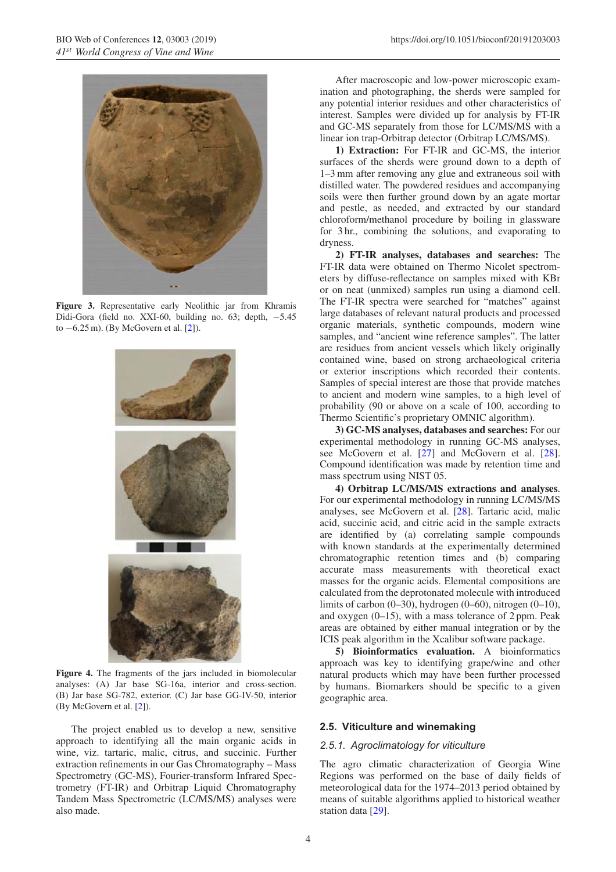<span id="page-3-0"></span>

**Figure 3.** Representative early Neolithic jar from Khramis Didi-Gora (field no. XXI-60, building no. 63; depth, −5.45 to −6.25 m). (By McGovern et al. [\[2\]](#page-8-1)).

<span id="page-3-1"></span>

**Figure 4.** The fragments of the jars included in biomolecular analyses: (A) Jar base SG-16a, interior and cross-section. (B) Jar base SG-782, exterior. (C) Jar base GG-IV-50, interior (By McGovern et al. [\[2\]](#page-8-1)).

The project enabled us to develop a new, sensitive approach to identifying all the main organic acids in wine, viz. tartaric, malic, citrus, and succinic. Further extraction refinements in our Gas Chromatography – Mass Spectrometry (GC-MS), Fourier-transform Infrared Spectrometry (FT-IR) and Orbitrap Liquid Chromatography Tandem Mass Spectrometric (LC/MS/MS) analyses were also made.

After macroscopic and low-power microscopic examination and photographing, the sherds were sampled for any potential interior residues and other characteristics of interest. Samples were divided up for analysis by FT-IR and GC-MS separately from those for LC/MS/MS with a linear ion trap-Orbitrap detector (Orbitrap LC/MS/MS).

**1) Extraction:** For FT-IR and GC-MS, the interior surfaces of the sherds were ground down to a depth of 1–3 mm after removing any glue and extraneous soil with distilled water. The powdered residues and accompanying soils were then further ground down by an agate mortar and pestle, as needed, and extracted by our standard chloroform/methanol procedure by boiling in glassware for 3 hr., combining the solutions, and evaporating to dryness.

**2) FT-IR analyses, databases and searches:** The FT-IR data were obtained on Thermo Nicolet spectrometers by diffuse-reflectance on samples mixed with KBr or on neat (unmixed) samples run using a diamond cell. The FT-IR spectra were searched for "matches" against large databases of relevant natural products and processed organic materials, synthetic compounds, modern wine samples, and "ancient wine reference samples". The latter are residues from ancient vessels which likely originally contained wine, based on strong archaeological criteria or exterior inscriptions which recorded their contents. Samples of special interest are those that provide matches to ancient and modern wine samples, to a high level of probability (90 or above on a scale of 100, according to Thermo Scientific's proprietary OMNIC algorithm).

**3) GC-MS analyses, databases and searches:** For our experimental methodology in running GC-MS analyses, see McGovern et al. [\[27\]](#page-9-2) and McGovern et al. [\[28](#page-9-3)]. Compound identification was made by retention time and mass spectrum using NIST 05.

**4) Orbitrap LC/MS/MS extractions and analyses**. For our experimental methodology in running LC/MS/MS analyses, see McGovern et al. [\[28](#page-9-3)]. Tartaric acid, malic acid, succinic acid, and citric acid in the sample extracts are identified by (a) correlating sample compounds with known standards at the experimentally determined chromatographic retention times and (b) comparing accurate mass measurements with theoretical exact masses for the organic acids. Elemental compositions are calculated from the deprotonated molecule with introduced limits of carbon (0–30), hydrogen (0–60), nitrogen (0–10), and oxygen (0–15), with a mass tolerance of 2 ppm. Peak areas are obtained by either manual integration or by the ICIS peak algorithm in the Xcalibur software package.

**5) Bioinformatics evaluation.** A bioinformatics approach was key to identifying grape/wine and other natural products which may have been further processed by humans. Biomarkers should be specific to a given geographic area.

#### **2.5. Viticulture and winemaking**

#### *2.5.1. Agroclimatology for viticulture*

The agro climatic characterization of Georgia Wine Regions was performed on the base of daily fields of meteorological data for the 1974–2013 period obtained by means of suitable algorithms applied to historical weather station data [\[29](#page-9-4)].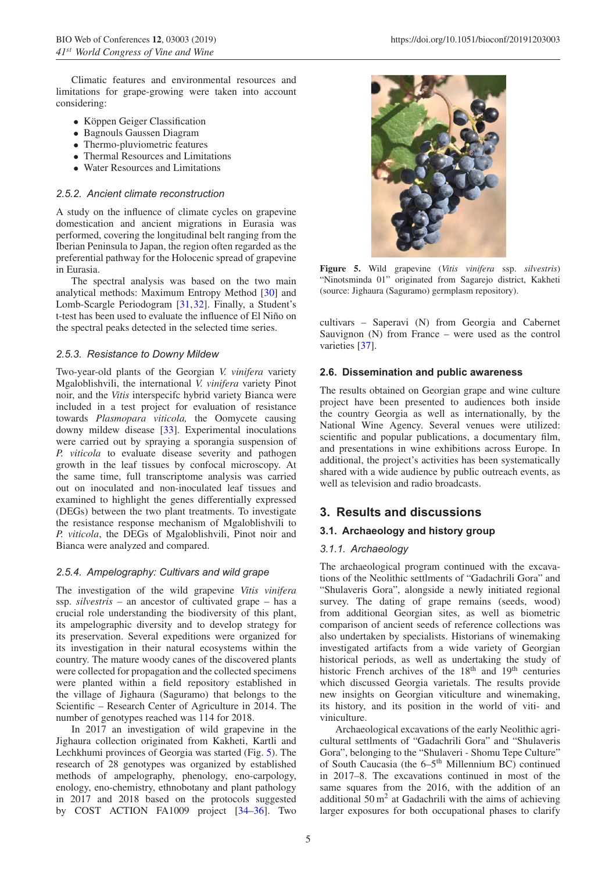Climatic features and environmental resources and limitations for grape-growing were taken into account considering:

- Köppen Geiger Classification
- Bagnouls Gaussen Diagram
- Thermo-pluviometric features
- Thermal Resources and Limitations
- Water Resources and Limitations

## *2.5.2. Ancient climate reconstruction*

A study on the influence of climate cycles on grapevine domestication and ancient migrations in Eurasia was performed, covering the longitudinal belt ranging from the Iberian Peninsula to Japan, the region often regarded as the preferential pathway for the Holocenic spread of grapevine in Eurasia.

The spectral analysis was based on the two main analytical methods: Maximum Entropy Method [\[30](#page-9-5)] and Lomb-Scargle Periodogram [\[31,](#page-9-6)[32](#page-9-7)]. Finally, a Student's t-test has been used to evaluate the influence of El Niño on the spectral peaks detected in the selected time series.

#### *2.5.3. Resistance to Downy Mildew*

Two-year-old plants of the Georgian *V. vinifera* variety Mgaloblishvili, the international *V. vinifera* variety Pinot noir, and the *Vitis* interspecifc hybrid variety Bianca were included in a test project for evaluation of resistance towards *Plasmopara viticola,* the Oomycete causing downy mildew disease [\[33\]](#page-9-8). Experimental inoculations were carried out by spraying a sporangia suspension of *P. viticola* to evaluate disease severity and pathogen growth in the leaf tissues by confocal microscopy. At the same time, full transcriptome analysis was carried out on inoculated and non-inoculated leaf tissues and examined to highlight the genes differentially expressed (DEGs) between the two plant treatments. To investigate the resistance response mechanism of Mgaloblishvili to *P. viticola*, the DEGs of Mgaloblishvili, Pinot noir and Bianca were analyzed and compared.

## *2.5.4. Ampelography: Cultivars and wild grape*

The investigation of the wild grapevine *Vitis vinifera* ssp. *silvestris –* an ancestor of cultivated grape – has a crucial role understanding the biodiversity of this plant, its ampelographic diversity and to develop strategy for its preservation. Several expeditions were organized for its investigation in their natural ecosystems within the country. The mature woody canes of the discovered plants were collected for propagation and the collected specimens were planted within a field repository established in the village of Jighaura (Saguramo) that belongs to the Scientific – Research Center of Agriculture in 2014. The number of genotypes reached was 114 for 2018.

In 2017 an investigation of wild grapevine in the Jighaura collection originated from Kakheti, Kartli and Lechkhumi provinces of Georgia was started (Fig. [5\)](#page-4-0). The research of 28 genotypes was organized by established methods of ampelography, phenology, eno-carpology, enology, eno-chemistry, ethnobotany and plant pathology in 2017 and 2018 based on the protocols suggested by COST ACTION FA1009 project [\[34](#page-9-9)[–36](#page-9-10)]. Two

<span id="page-4-0"></span>

**Figure 5.** Wild grapevine (*Vitis vinifera* ssp. *silvestris*) "Ninotsminda 01" originated from Sagarejo district, Kakheti (source: Jighaura (Saguramo) germplasm repository).

cultivars – Saperavi (N) from Georgia and Cabernet Sauvignon (N) from France – were used as the control varieties [\[37](#page-9-11)].

#### **2.6. Dissemination and public awareness**

The results obtained on Georgian grape and wine culture project have been presented to audiences both inside the country Georgia as well as internationally, by the National Wine Agency. Several venues were utilized: scientific and popular publications, a documentary film, and presentations in wine exhibitions across Europe. In additional, the project's activities has been systematically shared with a wide audience by public outreach events, as well as television and radio broadcasts.

# **3. Results and discussions**

## **3.1. Archaeology and history group**

#### *3.1.1. Archaeology*

The archaeological program continued with the excavations of the Neolithic settlments of "Gadachrili Gora" and "Shulaveris Gora", alongside a newly initiated regional survey. The dating of grape remains (seeds, wood) from additional Georgian sites, as well as biometric comparison of ancient seeds of reference collections was also undertaken by specialists. Historians of winemaking investigated artifacts from a wide variety of Georgian historical periods, as well as undertaking the study of historic French archives of the  $18<sup>th</sup>$  and  $19<sup>th</sup>$  centuries which discussed Georgia varietals. The results provide new insights on Georgian viticulture and winemaking, its history, and its position in the world of viti- and viniculture.

Archaeological excavations of the early Neolithic agricultural settlments of "Gadachrili Gora" and "Shulaveris Gora", belonging to the "Shulaveri - Shomu Tepe Culture" of South Caucasia (the  $6-5$ <sup>th</sup> Millennium BC) continued in 2017–8. The excavations continued in most of the same squares from the 2016, with the addition of an additional  $50 \text{ m}^2$  at Gadachrili with the aims of achieving larger exposures for both occupational phases to clarify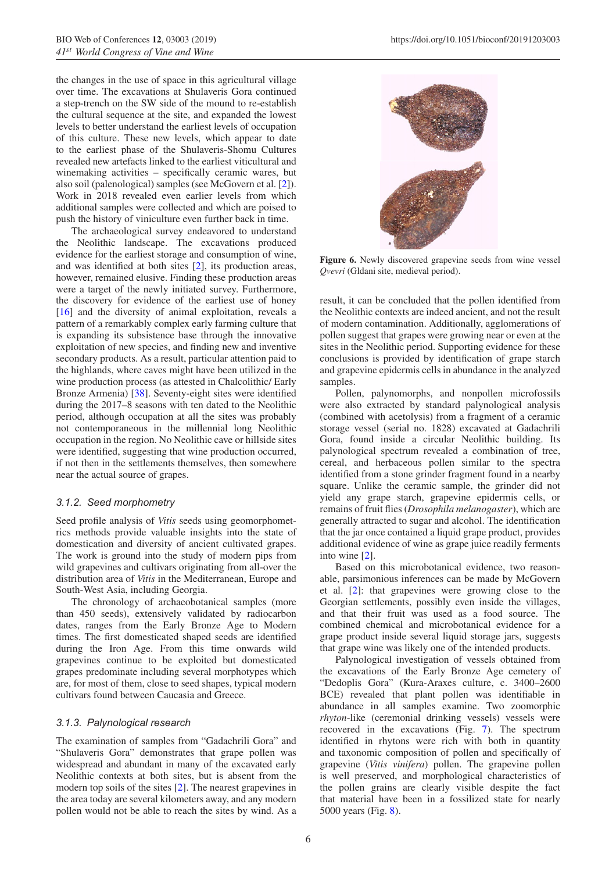the changes in the use of space in this agricultural village over time. The excavations at Shulaveris Gora continued a step-trench on the SW side of the mound to re-establish the cultural sequence at the site, and expanded the lowest levels to better understand the earliest levels of occupation of this culture. These new levels, which appear to date to the earliest phase of the Shulaveris-Shomu Cultures revealed new artefacts linked to the earliest viticultural and winemaking activities – specifically ceramic wares, but also soil (palenological) samples (see McGovern et al. [\[2](#page-8-1)]). Work in 2018 revealed even earlier levels from which additional samples were collected and which are poised to push the history of viniculture even further back in time.

The archaeological survey endeavored to understand the Neolithic landscape. The excavations produced evidence for the earliest storage and consumption of wine, and was identified at both sites [\[2](#page-8-1)], its production areas, however, remained elusive. Finding these production areas were a target of the newly initiated survey. Furthermore, the discovery for evidence of the earliest use of honey [\[16](#page-8-10)] and the diversity of animal exploitation, reveals a pattern of a remarkably complex early farming culture that is expanding its subsistence base through the innovative exploitation of new species, and finding new and inventive secondary products. As a result, particular attention paid to the highlands, where caves might have been utilized in the wine production process (as attested in Chalcolithic/ Early Bronze Armenia) [\[38\]](#page-9-12). Seventy-eight sites were identified during the 2017–8 seasons with ten dated to the Neolithic period, although occupation at all the sites was probably not contemporaneous in the millennial long Neolithic occupation in the region. No Neolithic cave or hillside sites were identified, suggesting that wine production occurred, if not then in the settlements themselves, then somewhere near the actual source of grapes.

#### *3.1.2. Seed morphometry*

Seed profile analysis of *Vitis* seeds using geomorphometrics methods provide valuable insights into the state of domestication and diversity of ancient cultivated grapes. The work is ground into the study of modern pips from wild grapevines and cultivars originating from all-over the distribution area of *Vitis* in the Mediterranean, Europe and South-West Asia, including Georgia.

The chronology of archaeobotanical samples (more than 450 seeds), extensively validated by radiocarbon dates, ranges from the Early Bronze Age to Modern times. The first domesticated shaped seeds are identified during the Iron Age. From this time onwards wild grapevines continue to be exploited but domesticated grapes predominate including several morphotypes which are, for most of them, close to seed shapes, typical modern cultivars found between Caucasia and Greece.

#### *3.1.3. Palynological research*

The examination of samples from "Gadachrili Gora" and "Shulaveris Gora" demonstrates that grape pollen was widespread and abundant in many of the excavated early Neolithic contexts at both sites, but is absent from the modern top soils of the sites [\[2](#page-8-1)]. The nearest grapevines in the area today are several kilometers away, and any modern pollen would not be able to reach the sites by wind. As a

<span id="page-5-0"></span>

**Figure 6.** Newly discovered grapevine seeds from wine vessel *Qvevri* (Gldani site, medieval period).

result, it can be concluded that the pollen identified from the Neolithic contexts are indeed ancient, and not the result of modern contamination. Additionally, agglomerations of pollen suggest that grapes were growing near or even at the sites in the Neolithic period. Supporting evidence for these conclusions is provided by identification of grape starch and grapevine epidermis cells in abundance in the analyzed samples.

Pollen, palynomorphs, and nonpollen microfossils were also extracted by standard palynological analysis (combined with acetolysis) from a fragment of a ceramic storage vessel (serial no. 1828) excavated at Gadachrili Gora, found inside a circular Neolithic building. Its palynological spectrum revealed a combination of tree, cereal, and herbaceous pollen similar to the spectra identified from a stone grinder fragment found in a nearby square. Unlike the ceramic sample, the grinder did not yield any grape starch, grapevine epidermis cells, or remains of fruit flies (*Drosophila melanogaster*), which are generally attracted to sugar and alcohol. The identification that the jar once contained a liquid grape product, provides additional evidence of wine as grape juice readily ferments into wine [\[2](#page-8-1)].

Based on this microbotanical evidence, two reasonable, parsimonious inferences can be made by McGovern et al. [\[2](#page-8-1)]: that grapevines were growing close to the Georgian settlements, possibly even inside the villages, and that their fruit was used as a food source. The combined chemical and microbotanical evidence for a grape product inside several liquid storage jars, suggests that grape wine was likely one of the intended products.

Palynological investigation of vessels obtained from the excavations of the Early Bronze Age cemetery of "Dedoplis Gora" (Kura-Araxes culture, c. 3400–2600 BCE) revealed that plant pollen was identifiable in abundance in all samples examine. Two zoomorphic *rhyton*-like (ceremonial drinking vessels) vessels were recovered in the excavations (Fig. [7\)](#page-6-0). The spectrum identified in rhytons were rich with both in quantity and taxonomic composition of pollen and specifically of grapevine (*Vitis vinifera*) pollen. The grapevine pollen is well preserved, and morphological characteristics of the pollen grains are clearly visible despite the fact that material have been in a fossilized state for nearly 5000 years (Fig. [8\)](#page-6-1).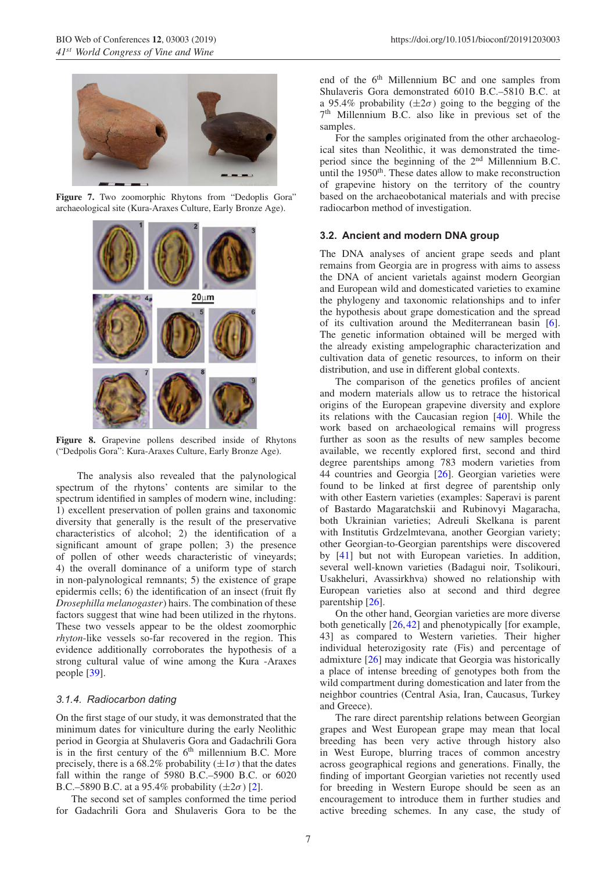<span id="page-6-0"></span>

**Figure 7.** Two zoomorphic Rhytons from "Dedoplis Gora" archaeological site (Kura-Araxes Culture, Early Bronze Age).

<span id="page-6-1"></span>

**Figure 8.** Grapevine pollens described inside of Rhytons ("Dedpolis Gora": Kura-Araxes Culture, Early Bronze Age).

The analysis also revealed that the palynological spectrum of the rhytons' contents are similar to the spectrum identified in samples of modern wine, including: 1) excellent preservation of pollen grains and taxonomic diversity that generally is the result of the preservative characteristics of alcohol; 2) the identification of a significant amount of grape pollen; 3) the presence of pollen of other weeds characteristic of vineyards; 4) the overall dominance of a uniform type of starch in non-palynological remnants; 5) the existence of grape epidermis cells; 6) the identification of an insect (fruit fly *Drosephilla melanogaster*) hairs. The combination of these factors suggest that wine had been utilized in the rhytons. These two vessels appear to be the oldest zoomorphic *rhyton*-like vessels so-far recovered in the region. This evidence additionally corroborates the hypothesis of a strong cultural value of wine among the Kura -Araxes people [\[39](#page-9-13)].

## *3.1.4. Radiocarbon dating*

On the first stage of our study, it was demonstrated that the minimum dates for viniculture during the early Neolithic period in Georgia at Shulaveris Gora and Gadachrili Gora is in the first century of the  $6<sup>th</sup>$  millennium B.C. More precisely, there is a 68.2% probability  $(\pm 1\sigma)$  that the dates fall within the range of 5980 B.C.–5900 B.C. or 6020 B.C.–5890 B.C. at a 95.4% probability  $(\pm 2\sigma)$  [\[2](#page-8-1)].

The second set of samples conformed the time period for Gadachrili Gora and Shulaveris Gora to be the end of the 6<sup>th</sup> Millennium BC and one samples from Shulaveris Gora demonstrated 6010 B.C.–5810 B.C. at a 95.4% probability  $(\pm 2\sigma)$  going to the begging of the 7th Millennium B.C. also like in previous set of the samples.

For the samples originated from the other archaeological sites than Neolithic, it was demonstrated the timeperiod since the beginning of the  $2<sup>nd</sup>$  Millennium B.C. until the 1950<sup>th</sup>. These dates allow to make reconstruction of grapevine history on the territory of the country based on the archaeobotanical materials and with precise radiocarbon method of investigation.

#### **3.2. Ancient and modern DNA group**

The DNA analyses of ancient grape seeds and plant remains from Georgia are in progress with aims to assess the DNA of ancient varietals against modern Georgian and European wild and domesticated varieties to examine the phylogeny and taxonomic relationships and to infer the hypothesis about grape domestication and the spread of its cultivation around the Mediterranean basin [\[6](#page-8-5)]. The genetic information obtained will be merged with the already existing ampelographic characterization and cultivation data of genetic resources, to inform on their distribution, and use in different global contexts.

The comparison of the genetics profiles of ancient and modern materials allow us to retrace the historical origins of the European grapevine diversity and explore its relations with the Caucasian region [\[40\]](#page-9-14). While the work based on archaeological remains will progress further as soon as the results of new samples become available, we recently explored first, second and third degree parentships among 783 modern varieties from 44 countries and Georgia [\[26\]](#page-9-1). Georgian varieties were found to be linked at first degree of parentship only with other Eastern varieties (examples: Saperavi is parent of Bastardo Magaratchskii and Rubinovyi Magaracha, both Ukrainian varieties; Adreuli Skelkana is parent with Institutis Grdzelmtevana, another Georgian variety; other Georgian-to-Georgian parentships were discovered by [\[41\]](#page-9-15) but not with European varieties. In addition, several well-known varieties (Badagui noir, Tsolikouri, Usakheluri, Avassirkhva) showed no relationship with European varieties also at second and third degree parentship [\[26](#page-9-1)].

On the other hand, Georgian varieties are more diverse both genetically [\[26](#page-9-1),[42\]](#page-9-16) and phenotypically [for example, 43] as compared to Western varieties. Their higher individual heterozigosity rate (Fis) and percentage of admixture [\[26](#page-9-1)] may indicate that Georgia was historically a place of intense breeding of genotypes both from the wild compartment during domestication and later from the neighbor countries (Central Asia, Iran, Caucasus, Turkey and Greece).

The rare direct parentship relations between Georgian grapes and West European grape may mean that local breeding has been very active through history also in West Europe, blurring traces of common ancestry across geographical regions and generations. Finally, the finding of important Georgian varieties not recently used for breeding in Western Europe should be seen as an encouragement to introduce them in further studies and active breeding schemes. In any case, the study of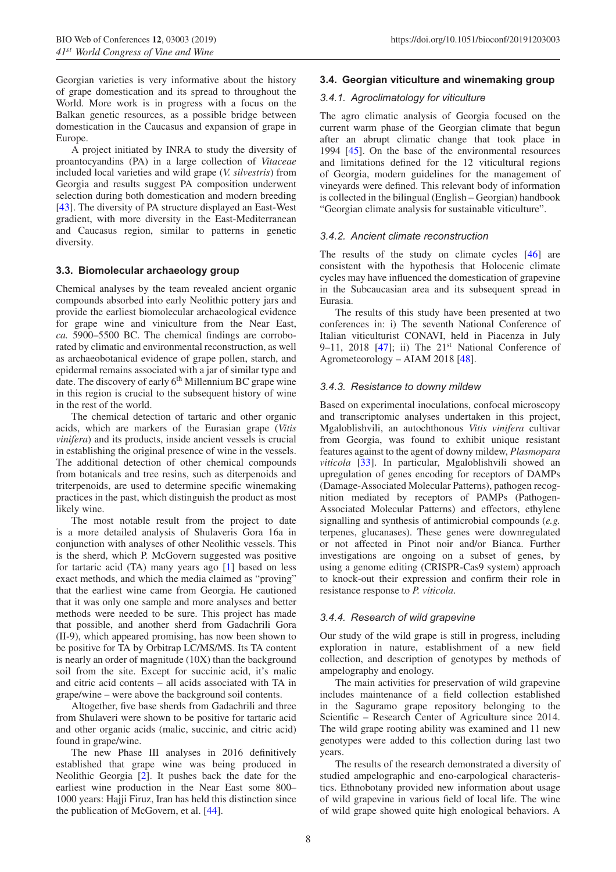Georgian varieties is very informative about the history of grape domestication and its spread to throughout the World. More work is in progress with a focus on the Balkan genetic resources, as a possible bridge between domestication in the Caucasus and expansion of grape in Europe.

A project initiated by INRA to study the diversity of proantocyandins (PA) in a large collection of *Vitaceae* included local varieties and wild grape (*V. silvestris*) from Georgia and results suggest PA composition underwent selection during both domestication and modern breeding [\[43](#page-9-17)]. The diversity of PA structure displayed an East-West gradient, with more diversity in the East-Mediterranean and Caucasus region, similar to patterns in genetic diversity.

#### **3.3. Biomolecular archaeology group**

Chemical analyses by the team revealed ancient organic compounds absorbed into early Neolithic pottery jars and provide the earliest biomolecular archaeological evidence for grape wine and viniculture from the Near East, *ca.* 5900–5500 BC. The chemical findings are corroborated by climatic and environmental reconstruction, as well as archaeobotanical evidence of grape pollen, starch, and epidermal remains associated with a jar of similar type and date. The discovery of early 6<sup>th</sup> Millennium BC grape wine in this region is crucial to the subsequent history of wine in the rest of the world.

The chemical detection of tartaric and other organic acids, which are markers of the Eurasian grape (*Vitis vinifera*) and its products, inside ancient vessels is crucial in establishing the original presence of wine in the vessels. The additional detection of other chemical compounds from botanicals and tree resins, such as diterpenoids and triterpenoids, are used to determine specific winemaking practices in the past, which distinguish the product as most likely wine.

The most notable result from the project to date is a more detailed analysis of Shulaveris Gora 16a in conjunction with analyses of other Neolithic vessels. This is the sherd, which P. McGovern suggested was positive for tartaric acid (TA) many years ago [\[1](#page-8-0)] based on less exact methods, and which the media claimed as "proving" that the earliest wine came from Georgia. He cautioned that it was only one sample and more analyses and better methods were needed to be sure. This project has made that possible, and another sherd from Gadachrili Gora (II-9), which appeared promising, has now been shown to be positive for TA by Orbitrap LC/MS/MS. Its TA content is nearly an order of magnitude (10X) than the background soil from the site. Except for succinic acid, it's malic and citric acid contents – all acids associated with TA in grape/wine – were above the background soil contents.

Altogether, five base sherds from Gadachrili and three from Shulaveri were shown to be positive for tartaric acid and other organic acids (malic, succinic, and citric acid) found in grape/wine.

The new Phase III analyses in 2016 definitively established that grape wine was being produced in Neolithic Georgia [\[2](#page-8-1)]. It pushes back the date for the earliest wine production in the Near East some 800– 1000 years: Hajji Firuz, Iran has held this distinction since the publication of McGovern, et al. [\[44\]](#page-9-18).

#### **3.4. Georgian viticulture and winemaking group**

#### *3.4.1. Agroclimatology for viticulture*

The agro climatic analysis of Georgia focused on the current warm phase of the Georgian climate that begun after an abrupt climatic change that took place in 1994 [\[45\]](#page-9-19). On the base of the environmental resources and limitations defined for the 12 viticultural regions of Georgia, modern guidelines for the management of vineyards were defined. This relevant body of information is collected in the bilingual (English – Georgian) handbook "Georgian climate analysis for sustainable viticulture".

#### *3.4.2. Ancient climate reconstruction*

The results of the study on climate cycles [\[46\]](#page-9-20) are consistent with the hypothesis that Holocenic climate cycles may have influenced the domestication of grapevine in the Subcaucasian area and its subsequent spread in Eurasia.

The results of this study have been presented at two conferences in: i) The seventh National Conference of Italian viticulturist CONAVI, held in Piacenza in July 9–11, 2018  $[47]$  $[47]$ ; ii) The 21<sup>st</sup> National Conference of Agrometeorology – AIAM 2018 [\[48\]](#page-9-22).

#### *3.4.3. Resistance to downy mildew*

Based on experimental inoculations, confocal microscopy and transcriptomic analyses undertaken in this project, Mgaloblishvili, an autochthonous *Vitis vinifera* cultivar from Georgia, was found to exhibit unique resistant features against to the agent of downy mildew, *Plasmopara viticola* [\[33](#page-9-8)]. In particular, Mgaloblishvili showed an upregulation of genes encoding for receptors of DAMPs (Damage-Associated Molecular Patterns), pathogen recognition mediated by receptors of PAMPs (Pathogen-Associated Molecular Patterns) and effectors, ethylene signalling and synthesis of antimicrobial compounds (*e.g.* terpenes, glucanases). These genes were downregulated or not affected in Pinot noir and/or Bianca. Further investigations are ongoing on a subset of genes, by using a genome editing (CRISPR-Cas9 system) approach to knock-out their expression and confirm their role in resistance response to *P. viticola*.

#### *3.4.4. Research of wild grapevine*

Our study of the wild grape is still in progress, including exploration in nature, establishment of a new field collection, and description of genotypes by methods of ampelography and enology.

The main activities for preservation of wild grapevine includes maintenance of a field collection established in the Saguramo grape repository belonging to the Scientific – Research Center of Agriculture since 2014. The wild grape rooting ability was examined and 11 new genotypes were added to this collection during last two years.

The results of the research demonstrated a diversity of studied ampelographic and eno-carpological characteristics. Ethnobotany provided new information about usage of wild grapevine in various field of local life. The wine of wild grape showed quite high enological behaviors. A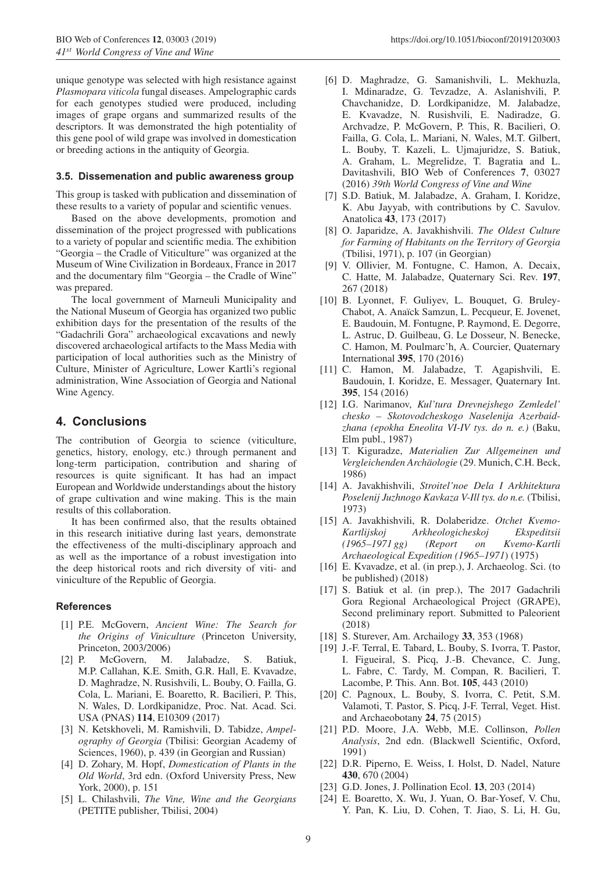unique genotype was selected with high resistance against *Plasmopara viticola* fungal diseases. Ampelographic cards for each genotypes studied were produced, including images of grape organs and summarized results of the descriptors. It was demonstrated the high potentiality of this gene pool of wild grape was involved in domestication or breeding actions in the antiquity of Georgia.

#### **3.5. Dissemenation and public awareness group**

This group is tasked with publication and dissemination of these results to a variety of popular and scientific venues.

Based on the above developments, promotion and dissemination of the project progressed with publications to a variety of popular and scientific media. The exhibition "Georgia – the Cradle of Viticulture" was organized at the Museum of Wine Civilization in Bordeaux, France in 2017 and the documentary film "Georgia – the Cradle of Wine" was prepared.

The local government of Marneuli Municipality and the National Museum of Georgia has organized two public exhibition days for the presentation of the results of the "Gadachrili Gora" archaeological excavations and newly discovered archaeological artifacts to the Mass Media with participation of local authorities such as the Ministry of Culture, Minister of Agriculture, Lower Kartli's regional administration, Wine Association of Georgia and National Wine Agency.

# **4. Conclusions**

The contribution of Georgia to science (viticulture, genetics, history, enology, etc.) through permanent and long-term participation, contribution and sharing of resources is quite significant. It has had an impact European and Worldwide understandings about the history of grape cultivation and wine making. This is the main results of this collaboration.

It has been confirmed also, that the results obtained in this research initiative during last years, demonstrate the effectiveness of the multi-disciplinary approach and as well as the importance of a robust investigation into the deep historical roots and rich diversity of viti- and viniculture of the Republic of Georgia.

## <span id="page-8-0"></span>**References**

- [1] P.E. McGovern, *Ancient Wine: The Search for the Origins of Viniculture* (Princeton University, Princeton, 2003/2006)
- <span id="page-8-1"></span>[2] P. McGovern, M. Jalabadze, S. Batiuk, M.P. Callahan, K.E. Smith, G.R. Hall, E. Kvavadze, D. Maghradze, N. Rusishvili, L. Bouby, O. Failla, G. Cola, L. Mariani, E. Boaretto, R. Bacilieri, P. This, N. Wales, D. Lordkipanidze, Proc. Nat. Acad. Sci. USA (PNAS) **114**, E10309 (2017)
- <span id="page-8-2"></span>[3] N. Ketskhoveli, M. Ramishvili, D. Tabidze, *Ampelography of Georgia* (Tbilisi: Georgian Academy of Sciences, 1960), p. 439 (in Georgian and Russian)
- <span id="page-8-3"></span>[4] D. Zohary, M. Hopf, *Domestication of Plants in the Old World*, 3rd edn. (Oxford University Press, New York, 2000), p. 151
- <span id="page-8-4"></span>[5] L. Chilashvili, *The Vine, Wine and the Georgians* (PETITE publisher, Tbilisi, 2004)
- <span id="page-8-5"></span>[6] D. Maghradze, G. Samanishvili, L. Mekhuzla, I. Mdinaradze, G. Tevzadze, A. Aslanishvili, P. Chavchanidze, D. Lordkipanidze, M. Jalabadze, E. Kvavadze, N. Rusishvili, E. Nadiradze, G. Archvadze, P. McGovern, P. This, R. Bacilieri, O. Failla, G. Cola, L. Mariani, N. Wales, M.T. Gilbert, L. Bouby, T. Kazeli, L. Ujmajuridze, S. Batiuk, A. Graham, L. Megrelidze, T. Bagratia and L. Davitashvili, BIO Web of Conferences **7**, 03027 (2016) *39th World Congress of Vine and Wine*
- <span id="page-8-6"></span>[7] S.D. Batiuk, M. Jalabadze, A. Graham, I. Koridze, K. Abu Jayyab, with contributions by C. Savulov. Anatolica **43**, 173 (2017)
- [8] O. Japaridze, A. Javakhishvili. *The Oldest Culture for Farming of Habitants on the Territory of Georgia* (Tbilisi, 1971), p. 107 (in Georgian)
- [9] V. Ollivier, M. Fontugne, C. Hamon, A. Decaix, C. Hatte, M. Jalabadze, Quaternary Sci. Rev. **197**, 267 (2018)
- [10] B. Lyonnet, F. Guliyev, L. Bouquet, G. Bruley-Chabot, A. Anaïck Samzun, L. Pecqueur, E. Jovenet, E. Baudouin, M. Fontugne, P. Raymond, E. Degorre, L. Astruc, D. Guilbeau, G. Le Dosseur, N. Benecke, C. Hamon, M. Poulmarc'h, A. Courcier, Quaternary International **395**, 170 (2016)
- [11] C. Hamon, M. Jalabadze, T. Agapishvili, E. Baudouin, I. Koridze, E. Messager, Quaternary Int. **395**, 154 (2016)
- [12] I.G. Narimanov, *Kul'tura Drevnejshego Zemledel' chesko – Skotovodcheskogo Naselenija Azerbaidzhana (epokha Eneolita VI-IV tys. do n. e.)* (Baku, Elm publ., 1987)
- <span id="page-8-7"></span>[13] T. Kiguradze, *Materialien Zur Allgemeinen und Vergleichenden Archaologie ¨* (29. Munich, C.H. Beck, 1986)
- <span id="page-8-8"></span>[14] A. Javakhishvili, *Stroitel'noe Dela I Arkhitektura Poselenij Juzhnogo Kavkaza V-Ill tys. do n.e.* (Tbilisi, 1973)
- <span id="page-8-9"></span>[15] A. Javakhishvili, R. Dolaberidze. *Otchet Kvemo-Kartlijskoj Arkheologicheskoj Ekspeditsii (1965–1971 gg) (Report on Kvemo-Kartli Archaeological Expedition (1965–1971*) (1975)
- <span id="page-8-10"></span>[16] E. Kvavadze, et al. (in prep.), J. Archaeolog. Sci. (to be published) (2018)
- <span id="page-8-11"></span>[17] S. Batiuk et al. (in prep.), The 2017 Gadachrili Gora Regional Archaeological Project (GRAPE), Second preliminary report. Submitted to Paleorient (2018)
- <span id="page-8-12"></span>[18] S. Sturever, Am. Archailogy **33**, 353 (1968)
- <span id="page-8-13"></span>[19] J.-F. Terral, E. Tabard, L. Bouby, S. Ivorra, T. Pastor, I. Figueiral, S. Picq, J.-B. Chevance, C. Jung, L. Fabre, C. Tardy, M. Compan, R. Bacilieri, T. Lacombe, P. This. Ann. Bot. **105**, 443 (2010)
- <span id="page-8-14"></span>[20] C. Pagnoux, L. Bouby, S. Ivorra, C. Petit, S.M. Valamoti, T. Pastor, S. Picq, J-F. Terral, Veget. Hist. and Archaeobotany **24**, 75 (2015)
- <span id="page-8-15"></span>[21] P.D. Moore, J.A. Webb, M.E. Collinson, *Pollen Analysis*, 2nd edn. (Blackwell Scientific, Oxford, 1991)
- [22] D.R. Piperno, E. Weiss, I. Holst, D. Nadel, Nature **430**, 670 (2004)
- [23] G.D. Jones, J. Pollination Ecol. **13**, 203 (2014)
- <span id="page-8-17"></span><span id="page-8-16"></span>[24] E. Boaretto, X. Wu, J. Yuan, O. Bar-Yosef, V. Chu, Y. Pan, K. Liu, D. Cohen, T. Jiao, S. Li, H. Gu,